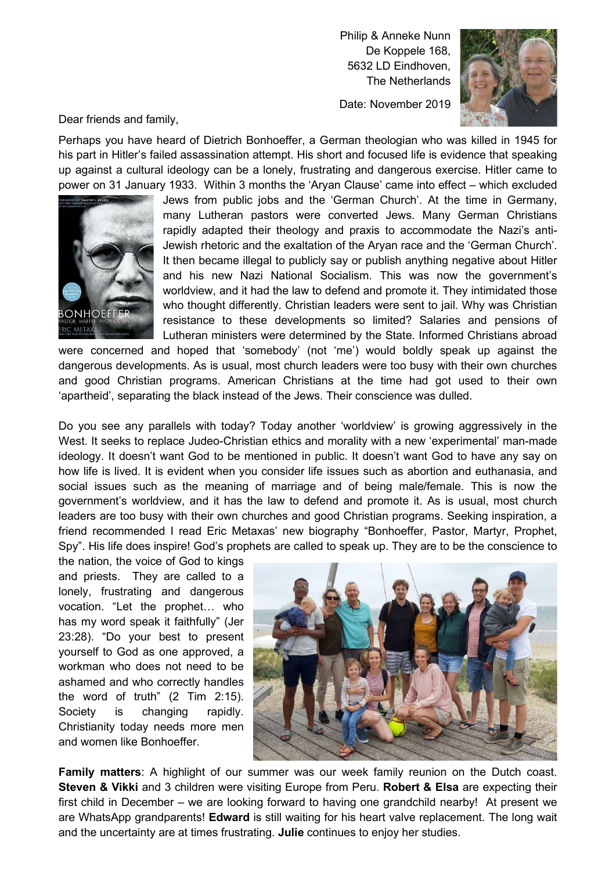Philip & Anneke Nunn De Koppele 168, 5632 LD Eindhoven, The Netherlands

Date: November 2019



Dear friends and family,

Perhaps you have heard of Dietrich Bonhoeffer, a German theologian who was killed in 1945 for his part in Hitler's failed assassination attempt. His short and focused life is evidence that speaking up against a cultural ideology can be a lonely, frustrating and dangerous exercise. Hitler came to power on 31 January 1933. Within 3 months the 'Aryan Clause' came into effect – which excluded



Jews from public jobs and the 'German Church'. At the time in Germany, many Lutheran pastors were converted Jews. Many German Christians rapidly adapted their theology and praxis to accommodate the Nazi's anti-Jewish rhetoric and the exaltation of the Aryan race and the 'German Church'. It then became illegal to publicly say or publish anything negative about Hitler and his new Nazi National Socialism. This was now the government's worldview, and it had the law to defend and promote it. They intimidated those who thought differently. Christian leaders were sent to jail. Why was Christian resistance to these developments so limited? Salaries and pensions of Lutheran ministers were determined by the State. Informed Christians abroad

were concerned and hoped that 'somebody' (not 'me') would boldly speak up against the dangerous developments. As is usual, most church leaders were too busy with their own churches and good Christian programs. American Christians at the time had got used to their own 'apartheid', separating the black instead of the Jews. Their conscience was dulled.

Do you see any parallels with today? Today another 'worldview' is growing aggressively in the West. It seeks to replace Judeo-Christian ethics and morality with a new 'experimental' man-made ideology. It doesn't want God to be mentioned in public. It doesn't want God to have any say on how life is lived. It is evident when you consider life issues such as abortion and euthanasia, and social issues such as the meaning of marriage and of being male/female. This is now the government's worldview, and it has the law to defend and promote it. As is usual, most church leaders are too busy with their own churches and good Christian programs. Seeking inspiration, a friend recommended I read Eric Metaxas' new biography "Bonhoeffer, Pastor, Martyr, Prophet, Spy". His life does inspire! God's prophets are called to speak up. They are to be the conscience to

the nation, the voice of God to kings and priests. They are called to a lonely, frustrating and dangerous vocation. "Let the prophet… who has my word speak it faithfully" (Jer 23:28). "Do your best to present yourself to God as one approved, a workman who does not need to be ashamed and who correctly handles the word of truth" (2 Tim 2:15). Society is changing rapidly. Christianity today needs more men and women like Bonhoeffer.



Family matters: A highlight of our summer was our week family reunion on the Dutch coast. Steven & Vikki and 3 children were visiting Europe from Peru. Robert & Elsa are expecting their first child in December – we are looking forward to having one grandchild nearby! At present we are WhatsApp grandparents! Edward is still waiting for his heart valve replacement. The long wait and the uncertainty are at times frustrating. Julie continues to enjoy her studies.